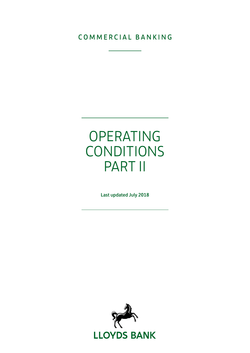### COMMERCIAL BANKING

# OPERATING CONDITIONS PART II

Last updated July 2018

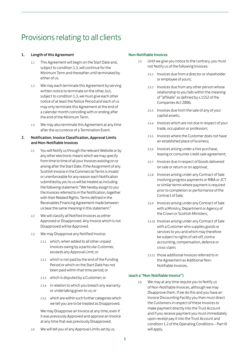## Provisions relating to all clients

#### 1. Length of this Agreement

- 1.1 This Agreement will begin on the Start Date and, subject to condition 1.3, will continue for the Minimum Term and thereafter until terminated by either of us.
- 1.2 We may each terminate this Agreement by serving written notice to terminate on the other, but, subject to condition 1.3, we must give each other notice of at least the Notice Period and each of us may only terminate this Agreement at the end of a calendar month coinciding with or ending after the end of the Minimum Term.
- 1.3 We may also terminate this Agreement at any time after the occurrence of a Termination Event.

#### 2. Notification, Invoice Classification, Approval Limits and Non-Notifiable Invoices

- 2.1 You will Notify us through the relevant Website or by any other electronic means which we may specify from time to time of all your Invoices existing on or arising after the Start Date. If the Assignment of any Scottish Invoice in the Commercial Terms is invalid or unenforceable for any reason each Notification submitted by you to us will be treated as including the following statement: "We hereby assign to you the Invoices referred to in the Notification, together with their Related Rights. Terms defined in the Receivables Financing Agreement made between us bear the same meaning in this statement."
- 2.2 We will classify all Notified Invoices as either Approved or Disapproved. Any Invoice which is not Disapproved will be Approved.
- 2.3 We may Disapprove any Notified Invoice:
	- 2.3.1 which, when added to all other unpaid Invoices owing by a particular Customer, exceeds any Approval Limit; or
	- 2.3.2 which is not paid by the end of the Funding Period or which on the Start Date has not been paid within that time period; or
	- 2.3.3 which is disputed by a Customer; or
	- 2.3.4 in relation to which you breach any warranty or undertaking given to us; or
	- 2.3.5 which are within such further categories which we tell you are to be treated as Disapproved.

We may Disapprove an Invoice at any time, even if it was previously Approved and approve an Invoice at any time that was previously Disapproved.

2.4 We will tell you of any Approval Limits set by us.

#### Non-Notifiable Invoices

- 2.5 Until we give you notice to the contrary, you must not Notify us of the following Invoices:
	- 2.5.1 Invoices due from a director or shareholder or employee of yours;
	- 2.5.2 Invoices due from any other person whose relationship to you falls within the meaning of "affiliate" as defined by s.1152 of the Companies Act 2006;
	- 2.5.3 Invoices due from the sale of any of your capital assets;
	- 2.5.4 Invoices which are not due in respect of your trade, occupation or profession;
	- 2.5.5 Invoices where the Customer does not have an established place of business;
	- 2.5.6 Invoices arising under a hire purchase, leasing or consumer credit sale agreement;
	- 2.5.7 Invoices due in respect of Goods delivered on sale or return or on approval;
	- 2.5.8 Invoices arising under any Contract of Sale involving progress payments or RIBA or JCT or similar terms where payment is required prior to completion or performance of the Contract of Sale;
	- 2.5.9 Invoices arising under any Contract of Sale with a Ministry, Department or Agency of the Crown or Scottish Ministers;
	- 2.5.10 Invoices arising under any Contract of Sale with a Customer who supplies goods or services to you and which may therefore be subject to rights of set-off, contra accounting, compensation, defence or cross-claim;
	- 2.5.11 those additional Invoices referred to in the Agreement as Additional Non-Notifiable Invoices,

#### (each a "Non-Notifiable Invoice")

2.6 We may at any time require you to Notify us of Non-Notifiable Invoices, although we may Disapprove them. If we do this and you have an Invoice Discounting Facility you then must direct the Customers in respect of these Invoices to make payment directly into the Trust Account and if you receive payment you must immediately upon receipt pay it into the Trust Account and condition 1.2 of the Operating Conditions – Part III will apply.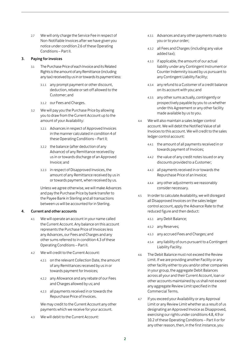2.7 We will only charge the Service Fee in respect of Non-Notifiable Invoices after we have given you notice under condition 2.6 of these Operating Conditions – Part II.

#### 3. Paying for invoices

- 3.1 The Purchase Price of each Invoice and its Related Rights is the amount of any Remittance (including any tax) received by us in or towards its payment less:
	- 3.1.1 any prompt payment or other discount, deduction, rebate or set-off allowed to the Customer; and
	- 3.1.2 our Fees and Charges.
- 3.2 We will pay you the Purchase Price by allowing you to draw from the Current Account up to the amount of your Availability:
	- 3.2.1 Advances in respect of Approved Invoices in the manner calculated in condition 4 of these Operating Conditions – Part II;
	- 3.2.2 the balance (after deduction of any Advance) of any Remittance received by us in or towards discharge of an Approved Invoice; and
	- 3.2.3 in respect of Disapproved Invoices, the amount of any Remittance received by us in or towards payment, when received by us.

Unless we agree otherwise, we will make Advances and pay the Purchase Price by bank transfer to the Payee Bank in Sterling and all transactions between us will be accounted for in Sterling.

#### 4. Current and other accounts

- 4.1 We will operate an account in your name called the Current Account. Any balance on this account represents the Purchase Price of Invoices less any Advances, our Fees and Charges and any other sums referred to in condition 4.3 of these Operating Conditions – Part II.
- 4.2 We will credit to the Current Account:
	- 4.2.1 on the relevant Collection Date, the amount of any Remittances received by us in or towards payment for Invoices;
	- 4.2.2 any Allowance and any rebate of our Fees and Charges allowed by us; and
	- 4.2.3 all payments received in or towards the Repurchase Price of Invoices.

We may credit to the Current Account any other payments which we receive for your account.

4.3 We will debit to the Current Account:

- 4.3.1 Advances and any other payments made to you or to your order;
- 4.3.2 all Fees and Charges (including any value added tax);
- 4.3.3 if applicable, the amount of our actual liability under any Contingent Instrument or Counter Indemnity issued by us pursuant to any Contingent Liability Facility;
- 4.3.4 any refund to a Customer of a credit balance on its account with you; and
- 4.3.5 any other sums actually, contingently or prospectively payable by you to us whether under this Agreement or any other facility made available by us to you.
- 4.4 We will also maintain a sales ledger control account. We will debit the Notified Value of all Invoices to this account. We will credit to the sales ledger control account:
	- 4.4.1 the amount of all payments received in or towards payment of Invoices;
	- 4.4.2 the value of any credit notes issued or any discounts provided to a Customer;
	- 4.4.3 all payments received in or towards the Repurchase Price of an Invoice;
	- 4.4.4 any other adjustments we reasonably consider necessary.
- 4.5 In order to calculate Availability, we will disregard all Disapproved Invoices on the sales ledger control account, apply the Advance Rate to that reduced figure and then deduct:
	- 4.5.1 any Debit Balance;
	- 4.5.2 any Reserves;
	- 4.5.3 any accrued Fees and Charges; and
	- 4.5.4 any liability of ours pursuant to a Contingent Liability Facility.
- 4.6 The Debit Balance must not exceed the Review Limit. If we are providing another Facility or any other facility either to you and/or other companies in your group, the aggregate Debit Balances across all your and their Current Account, loan or other accounts maintained by us shall not exceed any aggregate Review Limit specified in the Commercial Terms.
- 4.7 If you exceed your Availability or any Approval Limit or any Review Limit whether as a result of us designating an Approved Invoice as Disapproved, exercising our rights under conditions 4.8, 4.9 or 10.2 of these Operating Conditions – Part II or for any other reason, then, in the first instance, you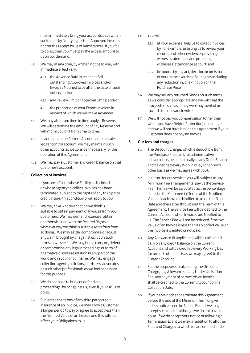must immediately bring your accounts back within such limits by Notifying further Approved Invoices and/or the receipt by us of Remittances. If you fail to do so, then you must pay the excess amount to us on our demand.

- 4.8 We may at any time, by written notice to you, with immediate effect vary:
	- 4.8.1 the Advance Rate in respect of all outstanding Approved Invoices and/or Invoices Notified to us after the date of such notice; and/or
	- 4.8.2 any Review Limit or Approval Limits; and/or
	- 4.8.3 the proportion of your Export Invoices in respect of which we will make Advances.
- 4.9 We may also from time to time apply a Reserve. We will determine the amount of any Reserve and will inform you of it from time to time.
- 4.10 In addition to the Current Account and the sales ledger control account, we may maintain such other accounts as we consider necessary for the operation of this Agreement.
- 4.11 We may pay a Customer any credit balance on that Customer's account.

#### 5. Collection of invoices

- 5.1 If you are a Client whose Facility is disclosed or whose agency to collect Invoices has been terminated, subject to the rights of any third party credit insurer this condition 5 will apply to you.
- 5.2 We may take whatever action we think is suitable to obtain payment of Invoices from your Customers. We may demand, exercise, obtain or otherwise deal with the Related Rights in whatever way we think is suitable (or refrain from so doing). We may settle, compromise or adjust any claim brought by or against us, upon such terms as we see fit. We may bring, carry on, defend or compromise any legal proceedings or form of alternative dispute resolution in any part of the world and in your or our name. We may engage collection agents, solicitors, barristers, advocates or such other professionals as we feel necessary for this purpose.
- 5.3 We do not have to bring or defend any proceedings, by or against us, even if you ask us to do so.
- 5.4 Subject to the terms of any third party credit insurance of an Invoice, we may allow a Customer a longer period to pay or agree to accept less than the Notified Value of an Invoice and this will not affect your Obligations to us.
- 5.5 You will:
	- 5.5.1 at your expense, help us to collect Invoices, by, for example, assisting us to review your records and other evidence, providing witness statements and procuring witnesses' attendance at court; and
	- 5.5.2 be bound by any act, decision or omission of ours in the exercise of our rights including any reduction in, or extinction of, the Purchase Price.
- 5.6 We may sell any returned Goods on such terms as we consider appropriate and we will treat the proceeds of sale as if they were payment of or towards the relevant Invoice.
- 5.7 We will not pay you compensation (other than where you have Debtor Protection) or damages and we will not have broken this Agreement if your Customer does not pay an Invoice.

#### 6. Our fees and charges

- 6.1 The Discount Charge, which is deductible from the Purchase Price, will, for administrative convenience, be applied daily to any Debit Balance and be debited every Working Day (or on such other basis as we may agree with you).
- 6.2 In return for our services you will, subject to any Minimum Fee arrangements, pay us the Service Fee. This fee will be calculated as the percentage stated in the Commercial Terms of the Notified Value of each Invoice Notified to us on the Start Date and thereafter throughout the Term of this Agreement. The Service Fee will be debited to the Current Account when Invoices are Notified to us. The Service Fee will not be reduced if the Net Value of an Invoice is less than its Notified Value or the Invoice is credited or not paid.
- 6.3 Any Allowance (if applicable) will be calculated daily on any credit balance on the Current Account and will be credited every Working Day (or on such other basis as we may agree) to the Current Account.
- 6.4 For the purposes of calculating the Discount Charge, any Allowance or any Under Utilisation Fee, any payment of or towards an Invoice shall be credited to the Current Account on its Collection Date.
- 6.5 If you serve notice to terminate this Agreement before the end of the Minimum Term or give us less notice than the Notice Period, we may accept such notice, although we do not have to do so. If we do accept your notice or following a Termination Event we may, in addition to all other Fees and Charges to which we are entitled under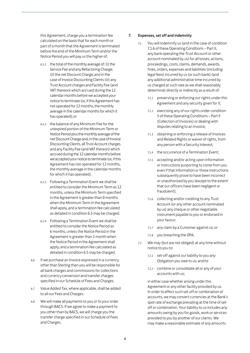this Agreement, charge you a termination fee calculated on the basis that for each month or part of a month that the Agreement is terminated before the end of the Minimum Term and/or the Notice Period you will pay us the higher of:

- 6.5.1 the total of the monthly average of: (i) the Service Fee and any Refactoring Charge; (ii) the net Discount Charge; and in the case of Invoice Discounting Clients (iii) any Trust Account charges and Facility Fee (and VAT thereon) which accrued during the 12 calendar months before we accepted your notice to terminate (or, if this Agreement has not operated for 12 months, the monthly average in the calendar months for which it has operated); or
- 6.5.2 the balance of any Minimum Fee for the unexpired portion of the Minimum Term or Notice Period plus the monthly average of the net Discount Charge and, in the case of Invoice Discounting Clients, all Trust Account charges and any Facility Fee (and VAT thereon) which accrued during the 12 calendar months before we accepted your notice to terminate (or, if this Agreement has not operated for 12 months, the monthly average in the calendar months for which it has operated).
- 6.5.3 Following a Termination Event we shall be entitled to consider the Minimum Term as 12 months, unless the Minimum Term specified in the Agreement is greater than 0 months when the Minimum Term in the Agreement shall apply, and a termination fee calculated as detailed in condition 6.5 may be charged.
- 6.5.4 Following a Termination Event we shall be entitled to consider the Notice Period as 6 months, unless the Notice Period in the Agreement is greater than 1 month when the Notice Period in the Agreement shall apply, and a termination fee calculated as detailed in condition 6.5 may be charged.
- 6.6 If we purchase an Invoice expressed in a currency other than Sterling then you will be responsible for all bank charges and commissions for collections and currency conversion and transfer charges specified in our Schedule of Fees and Charges.
- 6.7 Value Added Tax, where applicable, shall be added to all our Fees and Charges.
- 6.8 We will make all payments to you or to your order through BACS. If we agree to make a payment to you other than by BACS, we will charge you the transfer charge specified in our Schedule of Fees and Charges.

#### 7. Expenses, set off and indemnity

- 7.1 You will indemnify us (and in the case of condition 7.1.6 of these Operating Conditions – Part II, any bank operating the Trust Account or other account nominated by us) for all losses, actions, proceedings, costs, claims, demands, awards, fines, orders, expenses and liabilities (including legal fees) incurred by us (or such bank) (and any additional administrative time incurred by us charged at such rate as we shall reasonably determine) directly or indirectly as a result of:
	- 7.1.1 preserving or enforcing our rights under this Agreement and any security given for it;
	- 7.1.2 exercising any of our rights under condition 5 of these Operating Conditions – Part II (Collection of Invoices) or dealing with disputes relating to an Invoice;
	- 7.1.3 obtaining or enforcing a release of Invoices and Related Rights or waiver of rights, from any person with a Security Interest;
	- 7.1.4 the occurrence of a Termination Event;
	- 7.1.5 accepting and/or acting upon information or instructions purporting to come from you even if that information or those instructions subsequently prove to have been incorrect or unauthorised by you (except to the extent that our officers have been negligent or fraudulent);
	- 7.1.6 collecting and/or crediting to any Trust Account (or any other account nominated by us) any cheque or other negotiable instrument payable to you or endorsed in your favour;
	- 7.1.7 any claim by a Customer against us; or
	- 7.1.8 you breaching the DPA.
- 7.2 We may (but are not obliged) at any time without notice to you to:
	- 7.2.1 set-off against our liability to you any Obligation you owe to us; and/or
	- 7.2.2 combine or consolidate all or any of your accounts with us;

in either case whether arising under this Agreement or any other facility provided by us. In order to effect such set-off or combination of accounts, we may convert currencies at the Bank's spot rate of exchange prevailing at the time of setoff or combination. Your liability to us includes any amounts owing by you for goods, work or services provided to you by another of our clients. We may make a reasonable estimate of any amounts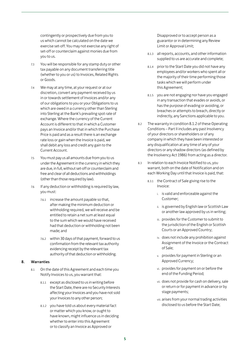contingently or prospectively due from you to us which cannot be calculated on the date we exercise set-off. You may not exercise any right of set-off or counterclaim against monies due from you to us.

- 7.3 You will be responsible for any stamp duty or other tax payable on any document transferring title (whether to you or us) to Invoices, Related Rights or Goods.
- 7.4 We may at any time, at your request or at our discretion, convert any payment received by us in or towards settlement of Invoices and/or any of our obligations to you or your Obligations to us which are owed in a currency other than Sterling into Sterling at the Bank's prevailing spot rate of exchange. Where the currency of the Current Account is different to that in which a Customer pays an Invoice and/or that in which the Purchase Price is paid and as a result there is an exchange rate loss or gain when the Invoice is paid, we shall debit any loss and credit any gain to the Current Account.
- 7.5 You must pay us all amounts due from you to us under the Agreement in the currency in which they are due, in full, without set-off or counterclaim and free and clear of all deductions and withholdings (other than those required by law).
- 7.6 If any deduction or withholding is required by law, you must:
	- 7.6.1 increase the amount payable so that, after making the minimum deduction or withholding required, we will receive and be entitled to retain a net sum at least equal to the sum which we would have received had that deduction or withholding not been made; and
	- 7.6.2 within 30 days of that payment, forward to us confirmation from the relevant tax authority evidencing receipt by the relevant tax authority of that deduction or withholding.

#### 8. Warranties

- 8.1 On the date of this Agreement and each time you Notify Invoices to us, you warrant that:
	- 8.1.1 except as disclosed to us in writing before the Start Date, there are no Security Interests affecting your Invoices and you have not sold your Invoices to any other person;
	- 8.1.2 you have told us about every material fact or matter which you know, or ought to have known, might influence us in deciding whether to enter into this Agreement or to classify an Invoice as Approved or

Disapproved or to accept person as a guarantor or in determining any Review Limit or Approval Limit;

- 8.1.3 all reports, accounts, and other information supplied to us are accurate and complete;
- 8.1.4 prior to the Start Date you did not have any employees and/or workers who spent all or the majority of their time performing those tasks which we will perform under this Agreement;
- 8.1.5 you are not engaging nor have you engaged in any transaction that evades or avoids, or has the purpose of evading or avoiding, or breaches or attempts to breach, directly or indirectly, any Sanctions applicable to you.
- 8.2 The warranty in condition 8.1.2 of these Operating Conditions – Part II includes any past Insolvency of your directors or shareholders or of any company in which they have been interested or any disqualification at any time of any of your directors or any shadow directors (as defined by the Insolvency Act 1986) from acting as a director.
- 8.3 In relation to each Invoice Notified to us, you warrant, both on the date of Notification and on each Working Day until that Invoice is paid, that:
	- 8.3.1 the Contract of Sale giving rise to the Invoice:
		- i. is valid and enforceable against the Customer;
		- ii. is governed by English law or Scottish Law or another law approved by us in writing;
		- iii. provides for the Customer to submit to the jurisdiction of the English or Scottish Courts or an Approved Country;
		- iv. does not include any prohibition against Assignment of the Invoice or the Contract of Sale;
		- v. provides for payment in Sterling or an Approved Currency;
		- vi. provides for payment on or before the end of the Funding Period;
		- vii. does not provide for cash on delivery, sale or return or for payment in advance or by stage payments;
		- viii. arises from your normal trading activities disclosed to us before the Start Date;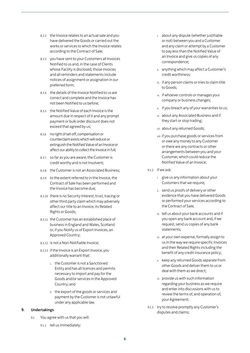- 8.3.2 the Invoice relates to an actual sale and you have delivered the Goods or carried out the works or services to which the Invoice relates according to the Contract of Sale;
- 8.3.3 you have sent to your Customers all Invoices Notified to us and, in the case of Clients whose Facility is disclosed, those invoices and all reminders and statements include notices of assignment or assignation in our preferred form;
- 8.3.4 the details of the Invoice Notified to us are correct and complete and the Invoice has not been Notified to us before;
- 8.3.5 the Notified Value of each Invoice is the amount due in respect of it and any prompt payment or bulk order discount does not exceed that agreed by us;
- 8.3.6 no right of set-off, compensation or counterclaim exists which will reduce or extinguish the Notified Value of an Invoice or affect our ability to collect the Invoice in full;
- 8.3.7 so far as you are aware, the Customer is credit worthy and is not Insolvent;
- 8.3.8 the Customer is not an Associated Business;
- 8.3.9 to the extent referred to in the Invoice, the Contract of Sale has been performed and the Invoice has become due;
- 8.3.10 there is no Security Interest, trust, tracing or other third party claim which may adversely affect our title to an Invoice, its Related Rights or Goods;
- 8.3.11 the Customer has an established place of business in England and Wales, Scotland or, if you Notify us of Export Invoices, an Approved Country;
- 8.3.12 is not a Non-Notifiable Invoice;
- 8.3.13 if the Invoice is an Export Invoice, you additionally warrant that:
	- i. the Customer is not a Sanctioned Entity and has all licences and permits necessary to import and pay for the Goods and/or services in the Approved Country; and
	- ii. the export of the goods or services and payment by the Customer is not unlawful under any applicable law.

#### 9. Undertakings

- 9.1 You agree with us that you will:
	- 9.1.1 tell us immediately:
- i. about any dispute (whether justifiable or not) between you and a Customer and any claim or attempt by a Customer to pay less than the Notified Value of an Invoice and give us copies of any correspondence;
- ii. anything which may affect a Customer's credit worthiness;
- iii. if any person claims or tries to claim title to Goods;
- iv. if whoever controls or manages your company or business changes;
- v. if you breach any of your warranties to us;
- vi. about any Associated Business and if they start or stop trading;
- vii. about any returned Goods;
- viii. if you purchase goods or services from or owe any money to any Customer or there are any contracts or other arrangements between you and your Customer, which could reduce the Notified Value of an Invoice;
- 9.1.2 if we ask:
	- i. give us any information about your Customers that we require;
	- ii. send us proofs of delivery or other evidence that you have delivered Goods or performed your services according to the Contract of Sale;
	- iii. tell us about your bank accounts and if you open any bank account and, if we request, send us copies of any bank statements;
	- iv. at your own expense, formally assign to us in the way we require specific Invoices and their Related Rights including the benefit of any credit insurance policy;
	- v. keep any returned Goods separate from other Goods and deliver them to us or deal with them as we direct;
	- vi. provide us with such information regarding your business as we require and enter into discussions with us to review the terms of, and operation of, your Agreement;
- 9.1.3 try to resolve promptly any Customer's disputes and claims;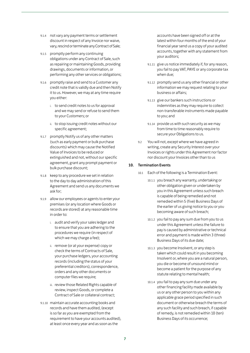- 9.1.4 not vary any payment terms or settlement discount in respect of any Invoice nor waive, vary, rescind or terminate any Contract of Sale;
- 9.1.5 promptly perform any continuing obligations under any Contract of Sale, such as repairing or maintaining Goods, providing drawings, documents or information, or performing any other services or obligations;
- 9.1.6 promptly raise and send to a Customer any credit note that is validly due and then Notify it to us. However, we may at any time require you either:
	- i. to send credit notes to us for approval and we may send or refuse to send them to your Customers; or
	- ii. to stop issuing credit notes without our specific agreement;
- 9.1.7 promptly Notify us of any other matters (such as early payment or bulk purchase discounts) which may cause the Notified Value of Invoices to be reduced or extinguished and not, without our specific agreement, grant any prompt payment or bulk purchase discount;
- 9.1.8 keep to any procedure we set in relation to the day to day administration of this Agreement and send us any documents we ask for;
- 9.1.9 allow our employees or agents to enter your premises (or any location where Goods or records are stored) at any reasonable time in order to:
	- i. audit and verify your sales ledger and to ensure that you are adhering to the procedures we require (in respect of which we may charge a fee);
	- ii. remove (or at your expense) copy or check the terms of Contracts of Sale, your purchase ledgers, your accounting records (including the status of your preferential creditors), correspondence, orders and any other documents or computer files we require;
	- iii. review those Related Rights capable of review, inspect Goods, or complete a Contract of Sale or collateral contract;
- 9.1.10 maintain accurate accounting books and records and have them audited, (except is so far as you are exempted from the requirement to have your accounts audited), at least once every year and as soon as the

accounts have been signed off or at the latest within four months of the end of your financial year send us a copy of your audited accounts, together with any statement from your auditors;

- 9.1.11 give us notice immediately if, for any reason, you fail to pay VAT, PAYE or any corporate tax when due;
- 9.1.12 promptly send us any other financial or other information we may request relating to your business or affairs;
- 9.1.13 give our bankers such instructions or indemnities as they may require to collect non-transferable instruments made payable to you; and
- 9.1.14 provide us with such security as we may from time to time reasonably require to secure your Obligations to us.
- 9.2 You will not, except where we have agreed in writing, create any Security Interest over your Invoices or rights under this Agreement nor factor nor discount your Invoices other than to us

#### 10. Termination Events

- 10.1 Each of the following is a Termination Event:
	- 10.1.1 you breach any warranty, undertaking or other obligation given or undertaken by you in this Agreement unless such breach is capable of being remedied and not remedied within 5 (five) Business Days of the earlier of us giving notice to you or you becoming aware of such breach;
	- 10.1.2 you fail to pay any sum due from you to us under this Agreement unless the failure to pay is caused by administrative or technical error and payment is made within 3 (three) Business Days of its due date;
	- 10.1.3 you become Insolvent, or any step is taken which could result in you becoming Insolvent or, where you are a natural person, you die or become of unsound mind or become a patient for the purpose of any statute relating to mental health;
	- 10.1.4 you fail to pay any sum due under any other financing facility made available by us or any other person to you within any applicable grace period specified in such document or otherwise breach the terms of any such facility and such breach, if capable of remedy, is not remedied within 10 (ten) Business Days of its occurrence;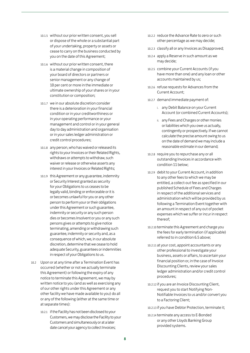- 10.1.5 without our prior written consent, you sell or dispose of the whole or a substantial part of your undertaking, property or assets or cease to carry on the business conducted by you on the date of this Agreement;
- 10.1.6 without our prior written consent, there is a material change in composition of your board of directors or partners or senior management or any change of 10 per cent or more in the immediate or ultimate ownership of your shares or in your constitution or composition;
- 10.1.7 we in our absolute discretion consider there is a deterioration in your financial condition or in your creditworthiness or in your operating performance or your management and control or in your general day to day administration and organisation or in your sales ledger administration or credit control procedures;
- 10.1.8 any person, who has waived or released its rights to your Invoices or their Related Rights, withdraws or attempts to withdraw, such waiver or release or otherwise asserts any interest in your Invoices or Related Rights;
- 10.1.9 this Agreement or any guarantee, indemnity or Security Interest granted as security for your Obligations to us ceases to be legally valid, binding or enforceable or it is or becomes unlawful for you or any other person to perform your or their obligations under this Agreement or such guarantee, indemnity or security or any such person dies or becomes Insolvent or you or any such persons gives or attempts to give notice terminating, amending or withdrawing such guarantee, indemnity or security and, as a consequence of which, we, in our absolute discretion, determine that we cease to hold adequate Security, guarantees or indemnities in respect of your Obligations to us.
- 10.2 Upon or at any time after a Termination Event has occurred (whether or not we actually terminate this Agreement) or following the expiry of any notice to terminate this Agreement, we may by written notice to you (and as well as exercising any of our other rights under this Agreement or any other facility we have made available to you) do all or any of the following (either at the same time or at separate times):
	- 10.2.1 if the Facility has not been disclosed to your Customers, we may disclose the Facility to your Customers and simultaneously or at a later date cancel your agency to collect Invoices;
- 10.2.2 reduce the Advance Rate to zero or such other percentage as we may decide;
- 10.2.3 classify all or any Invoices as Disapproved;
- 10.2.4 apply a Reserve in such amount as we may decide;
- 10.2.5 combine your Current Accounts (if you have more than one) and any loan or other accounts maintained by us;
- 10.2.6 refuse requests for Advances from the Current Account;
- 10.2.7 demand immediate payment of:
	- i. any Debit Balance on your Current Account (or combined Current Accounts);
	- ii. any Fees and Charges or other monies or liabilities which you owe us actually, contingently or prospectively. If we cannot calculate the precise amount owing to us on the date of demand we may include a reasonable estimate in our demand;
- 10.2.8 require you to repurchase any or all outstanding Invoices in accordance with condition 11 below;
- 10.2.9 debit to your Current Account, in addition to any other fees to which we may be entitled, a collect-out fee as specified in our published Schedule of Fees and Charges in respect of the additional services and administration which will be provided by us following a Termination Event together with an amount in respect of any out of pocket expenses which we suffer or incur in respect thereof;
- 10.2.10 terminate this Agreement and charge you the fees for early termination (if applicable) referred to in condition 6.5 above;
- 10.2.11 at your cost, appoint accountants or any other professional to investigate your business, assets or affairs, to ascertain your financial position or, in the case of Invoice Discounting Clients, review your sales ledger administration and/or credit control procedures;
- 10.2.12 if you are an Invoice Discounting Client, request you to start Notifying Non-Notifiable Invoices to us and/or convert you to a Factoring Client;
- 10.2.13 if you have Debtor Protection, terminate it;
- 10.2.14 terminate any access to E-Bonded or any other Lloyds Banking Group provided systems.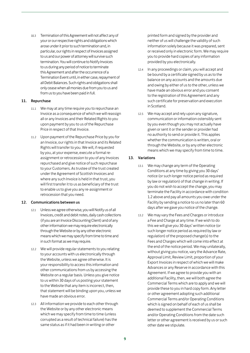10.3 Termination of this Agreement will not affect any of your or our respective rights and obligations which arose under it prior to such termination and, in particular, our rights in respect of Invoices assigned to us and our power of attorney will survive such termination. You will continue to Notify Invoices to us during any period of notice to terminate this Agreement and after the occurrence of a Termination Event until, in either case, repayment of all Debit Balances. Such rights and obligations shall only cease when all monies due from you to us and from us to you have been paid in full.

#### 11. Repurchase

- 11.1 We may at any time require you to repurchase an Invoice as a consequence of which we will reassign all or any Invoices and their Related Rights to you upon payment by you to us of the Repurchase Price in respect of that Invoice.
- 11.2 Upon payment of the Repurchase Price by you for an Invoice, our rights in that Invoice and its Related Rights will transfer to you. We will, if requested by you, at your expense, execute a formal reassignment or retrocession to you of any Invoices repurchased and give notice of such repurchase to your Customers. As trustee of the trust created under the Agreement of Scottish Invoices and where any such Invoice is held in that trust, you will first transfer it to us as beneficiary of the trust to enable us to give you any re-assignment or retrocession that you need.

#### 12. Communications between us

- 12.1 Unless we agree otherwise, you will Notify us of all Invoices, credit and debit notes, daily cash collections (if you are an Invoice Discounting Client) and of any other information we may require electronically through the Website or by any other electronic means which we may specify from time to time and in such format as we may require.
- 12.2 We will provide regular statements to you relating to your accounts with us electronically through the Website, unless we agree otherwise. It is your responsibility to access this information and other communications from us by accessing the Website on a regular basis. Unless you give notice to us within 30 days of us posting your statement to the Website that any item is incorrect, then, that statement will be binding upon you, unless we have made an obvious error.
- 12.3 All information we provide to each other through the Website or by any other electronic means which we may specify from time to time (unless corrupted as a result of technical failure) has the same status as if it had been in writing or other

printed form and signed by the provider and neither of us will challenge the validity of such information solely because it was prepared, sent or received only in electronic form. We may require you to provide hard copies of any information provided by you electronically.

- 12.4 In any proceedings or claim, you will accept and be bound by a certificate signed by us as to the balance on any accounts and the amounts due and owing by either of us to the other, unless we have made an obvious error and you consent to the registration of this Agreement and any such certificate for preservation and execution in Scotland.
- 12.5 We may accept and rely upon any signature, communication or information ostensibly sent by you even though you may not actually have given or sent it or the sender or provider had no authority to send or provide it. This applies whether the communication is written, oral or through the Website, or by any other electronic means which we may specify from time to time.

#### 13. Variations

- 13.1 We may change any term of the Operating Conditions at any time by giving you 30 days' notice (or such longer notice period as required by law or regulation) of that change in writing. If you do not wish to accept the change, you may terminate the Facility in accordance with condition 1.2 above and pay all amounts you owe under the Facility by sending a notice to us no later than 60 days after we gave you notice of the change.
- 13.2 We may vary the Fees and Charges or introduce a Fee and Charge at any time. If we wish to do this we will give you 30 days' written notice (or such longer notice period as required by law or regulation) of the proposed change(s) to the Fees and Charges which will come into effect at the end of the notice period. We may unilaterally, without giving you notice, vary the Advance Rate, Approval Limit, Review Limit, proportion of your Export Invoices in respect of which we will make Advances or any Reserve in accordance with this Agreement. If we agree to provide you with an additional Facility, then, we will both agree the Commercial Terms which are to apply and we will provide these to you in hard copy form. Any letter or other agreement adopting such additional Commercial Terms and/or Operating Conditions which is signed on behalf of each of us shall be deemed to supplement the Commercial Terms and/or Operating Conditions from the date such letter or other agreement is received by us or such other date we stipulate.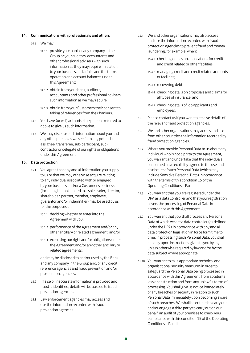#### 14. Communications with professionals and others

#### 14.1 We may:

- 14.1.1 provide your bank or any company in the Group or your auditors, accountants and other professional advisers with such information as they may require in relation to your business and affairs and the terms, operation and account balances under this Agreement;
- 14.1.2 obtain from your bank, auditors, accountants and other professional advisers such information as we may require:
- 14.1.3 obtain from your Customers their consent to taking of references from their bankers.
- 14.2 You have (or will) authorise the persons referred to above to give us such information.
- 14.3 We may disclose such information about you and any other person as we see fit to any potential assignee, transferee, sub-participant, subcontractor or delegate of our rights or obligations under this Agreement.

#### 15. Data protection

- 15.1 You agree that any and all information you supply to us or that we may otherwise acquire relating to any individual associated with or engaged by your business and/or a Customer's business (including but not limited to a sole trader, director, shareholder, partner, member, employee, guarantor and/or indemnifier) may be used by us for the purposes of:
	- 15.1.1 deciding whether to enter into the Agreement with you;
	- 15.1.2 performance of the Agreement and/or any other ancillary or related agreement; and/or
	- 15.1.3 exercising our right and/or obligations under the Agreement and/or any other ancillary or related agreements;

and may be disclosed to and/or used by the Bank and any company in the Group and/or any credit reference agencies and fraud prevention and/or prosecution agencies.

- 15.2 If false or inaccurate information is provided and fraud is identified, details will be passed to fraud prevention agencies.
- 15.3 Law enforcement agencies may access and use the information recorded with fraud prevention agencies.
- 15.4 We and other organisations may also access and use the information recorded with fraud protection agencies to prevent fraud and money laundering, for example, when:
	- 15.4.1 checking details on applications for credit and credit related or other facilities;
	- 15.4.2 managing credit and credit related accounts or facilities;
	- 15.4.3 recovering debt;
	- 15.4.4 checking details on proposals and claims for all types of insurance; and
	- 15.4.5 checking details of job applicants and employees.
- 15.5 Please contact us if you want to receive details of the relevant fraud protection agencies.
- 15.6 We and other organisations may access and use from other countries the information recorded by fraud protection agencies.
- 15.7 Where you provide Personal Data to us about any individual who is not a party to the Agreement, you warrant and undertake that the individuals concerned have explicitly agreed to the use and disclosure of such Personal Data (which may include Sensitive Personal Data) in accordance with the terms of this condition 15 of the Operating Conditions – Part II.
- 15.8 You warrant that you are registered under the DPA as a data controller and that your registration covers the processing of Personal Data in accordance with this Agreement.
- 15.9 You warrant that you shall process any Personal Data of which we are a data controller (as defined under the DPA) in accordance with any and all data protection legislation in force form time to time. In processing such Personal Data, you shall act only upon instructions given to you by us, unless otherwise required by law and/or by the data subject where appropriate.
- 15.10 You warrant to take appropriate technical and organisational security measures in order to safeguard the Personal Data being processed in accordance with this Agreement, from accidental loss or destruction and from any unlawful forms of processing. You shall give us notice immediately of any breaches of security in relation to such Personal Data immediately upon becoming aware of such breaches. We shall be entitled to carry out and/or engage a third party to carry out on our behalf, an audit of your premises to check your compliance with this condition 15 of the Operating Conditions – Part II.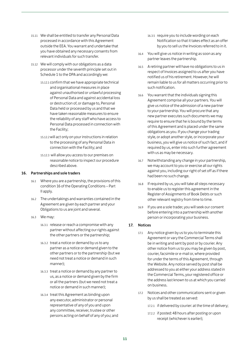- 15.11 We shall be entitled to transfer any Personal Data processed in accordance with this Agreement outside the EEA. You warrant and undertake that you have obtained any necessary consents from relevant individuals for such transfer.
- 15.12 We will comply with our obligations as a data processor under the seventh principle set out in Schedule 1 to the DPA and accordingly we:
	- 15.12.1 confirm that we have appropriate technical and organisational measures in place against unauthorised or unlawful processing of Personal Data and against accidental loss or destruction of, or damage to, Personal Data held or processed by us and that we have taken reasonable measures to ensure the reliability of any staff who have access to Personal Data processed in connection with the Facility;
	- 15.12.2will act only on your instructions in relation to the processing of any Personal Data in connection with the Facility; and
	- 15.12.3 will allow you access to our premises on reasonable notice to inspect our procedure described above.

#### 16. Partnerships and sole traders

- 16.1 Where you are a partnership, the provisions of this condition 16 of the Operating Conditions – Part II apply.
- 16.2 The undertakings and warranties contained in the Agreement are given by each partner and your Obligations to us are joint and several.
- 16.3 We may:
	- 16.3.1 release or reach a compromise with any partner without affecting our rights against the other partners or the partnership;
	- 16.3.2 treat a notice or demand by us to any partner as a notice or demand given to the other partners or to the partnership (but we need not treat a notice or demand in such manner);
	- 16.3.3 treat a notice or demand by any partner to us, as a notice or demand given by the firm or all the partners (but we need not treat a notice or demand in such manner);
	- 16.3.4 treat this Agreement as binding upon any executor, administrator or personal representative of any of you and upon any committee, receiver, trustee or other persons acting on behalf of any of you; and
- 16.3.5 require you to include wording on each Notification so that it takes effect as an offer by you to sell us the Invoices referred to in it.
- 16.4 You will give us notice in writing as soon as any partner leaves the partnership.
- 16.5 A retiring partner will have no obligations to us in respect of Invoices assigned to us after you have notified us of his retirement. However, he will remain liable to us for all matters occurring prior to such notification.
- 16.6 You warrant that the individuals signing this Agreement comprise all your partners. You will give us notice of the admission of a new partner to your partnership. You will procure that any new partner executes such documents we may require to ensure that he is bound by the terms of this Agreement and is placed under the same obligations as you. If you change your trading style, or adopt another style, or incorporate your business, you will give us notice of such fact, and if required by us, enter into such further agreement with us as may be necessary.
- 16.7 Notwithstanding any change in your partnership, we may account to you or exercise all our rights against you, including our right of set off as if there had been no such change.
- 16.8 If required by us, you will take all steps necessary to enable us to register this agreement in the Register of Assignments of Book Debts or such other relevant registry from time to time.
- 16.9 If you are a sole trader, you will seek our consent before entering into a partnership with another person or incorporating your business.

#### 17. Notices

- 17.1 Any notice given by us to you to terminate this Agreement or vary the Commercial Terms shall be in writing and sent by post or by courier. Any other notice from us to you may be given by post, courier, facsimile or e-mail or, where provided for under the terms of this Agreement, through the Website. Any notice served by post shall be addressed to you at either your address stated in the Commercial Terms, your registered office or the address last known to us at which you carried on business.
- 17.2 Notices and other communications sent or given by us shall be treated as served:
	- 17.2.1 if delivered by courier: at the time of delivery;
	- 17.2.2 if posted: 48 hours after posting or upon receipt (whichever is earlier);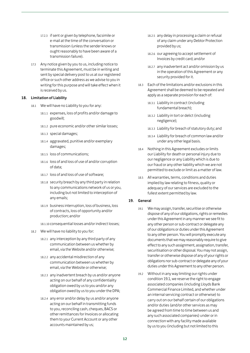- 17.2.3 if sent or given by telephone, facsimile or e-mail at the time of the conversation or transmission (unless the sender knows or ought reasonably to have been aware of a transmission failure).
- 17.3 Any notice given by you to us, including notice to terminate this Agreement, must be in writing and sent by special delivery post to us at our registered office or such other address as we advise to you in writing for this purpose and will take effect when it is received by us.

#### 18. Limitation of Liability

- 18.1 We will have no Liability to you for any:
	- 18.1.1 expenses, loss of profits and/or damage to goodwill;
	- 18.1.2 pure economic and/or other similar losses;
	- 18.1.3 special damages;
	- 18.1.4 aggravated, punitive and/or exemplary damages;
	- 18.1.5 loss of communications;
	- 18.1.6 loss of and loss of use of and/or corruption of data;
	- 18.1.7 loss of and loss of use of software;
	- 18.1.8 security breach by any third party in relation to any communications network of us or you, including but not limited to interception of any emails;
	- 18.1.9 business interruption, loss of business, loss of contracts, loss of opportunity and/or production; and/or
	- 18.1.10 consequential losses and/or indirect losses;
- 18.2 We will have no liability to you for:
	- 18.2.1 any interception by any third party of any communication between us whether by email, via the Website and/or otherwise;
	- 18.2.2 any accidental misdirection of any communication between us whether by email, via the Website or otherwise;
	- 18.2.3 any inadvertent breach by us and/or anyone acting on our behalf of any confidentiality obligation owed by us to you and/or any obligation owed by us to you under the DPA;
	- 18.2.4 any error and/or delay by us and/or anyone acting on our behalf in transmitting funds to you, reconciling cash, cheques, BACS or other remittances for Invoices or allocating them to your Current Account or any other accounts maintained by us;
- 18.2.5 any delay in processing a claim or refusal of any claim under any Debtor Protection provided by us;
- 18.2.6 our agreeing to accept settlement of Invoices by credit card; and/or
- 18.2.7 any inadvertent act and/or omission by us in the operation of this Agreement or any security provided for it.
- 18.3 Each of the limitations and/or exclusions in this Agreement shall be deemed to be repeated and apply as a separate provision for each of:
	- 18.3.1 Liability in contract (including fundamental breach);
	- 18.3.2 Liability in tort or delict (including negligence);
	- 18.3.3 Liability for breach of statutory duty; and
	- 18.3.4 Liability for breach of common law and/or under any other legal basis.
- 18.4 Nothing in this Agreement excludes or limits our Liability for death or personal injury due to our negligence or any Liability which is due to our fraud or any other liability which we are not permitted to exclude or limit as a matter of law.
- 18.5 All warranties, terms, conditions and duties implied by law relating to fitness, quality or adequacy of our services are excluded to the fullest extent permitted by law.

#### 19. General

- 19.1 We may assign, transfer, securitise or otherwise dispose of any of our obligations, rights or remedies under this Agreement in any manner we see fit to any other person or sub-contract or delegate any of our obligations or duties under this Agreement to any other person. You will promptly execute any documents that we may reasonably require to give effect to any such assignment, assignation, transfer, securitisation or other disposal. You may not assign, transfer or otherwise dispose of any of your rights or obligations nor sub-contract or delegate any of your duties under this Agreement to any other person.
- 19.2 Without in any way limiting our rights under condition 19.1, we reserve the right to engage associated companies (including Lloyds Bank Commercial Finance Limited, and whether under an internal servicing contract or otherwise) to carry out on our behalf certain of our obligations and/or duties (and/or other services as may be agreed from time to time between us and any such associated companies) under or in connection with any facility made available by us to you (including but not limited to this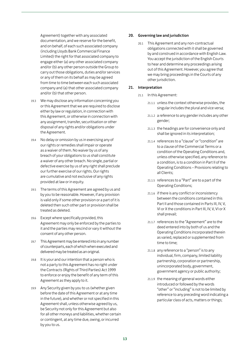Agreement) together with any associated documentation, and we reserve for the benefit, and on behalf, of each such associated company (including Lloyds Bank Commercial Finance Limited) the right for that associated company to engage either (a) any other associated company and/or (b) any other person outside the Group to carry out those obligations, duties and/or services or any of them on its behalf as may be agreed from time to time between each such associated company and (a) that other associated company and/or (b) that other person.

- 19.3 We may disclose any information concerning you or this Agreement that we are required to disclose either by law or regulation, in connection with this Agreement, or otherwise in connection with any assignment, transfer, securitisation or other disposal of any rights and/or obligations under the Agreement.
- 19.4 No delay or omission by us in exercising any of our rights or remedies shall impair or operate as a waiver of them. No waiver by us of any breach of your obligations to us shall constitute a waiver of any other breach. No single, partial or defective exercise by us of any right shall preclude our further exercise of our rights. Our rights are cumulative and not exclusive of any rights provided at law or in equity.
- 19.5 The terms of this Agreement are agreed by us and by you to be reasonable. However, if any provision is valid only if some other provision or a part of it is deleted then such other part or provision shall be treated as deleted.
- 19.6 Except where specifically provided, this Agreement may only be enforced by the parties to it and the parties may rescind or vary it without the consent of any other person.
- 19.7 This Agreement may be entered into in any number of counterparts, each of which when executed and delivered may be treated as an original.
- 19.8 It is your and our intention that a person who is not a party to this Agreement has no right under the Contracts (Rights of Third Parties) Act 1999 to enforce or enjoy the benefit of any term of this Agreement as they apply to it.
- 19.9 Any Security given by you to us (whether given before the date of this Agreement or at any time in the future), and whether or not specified in this Agreement shall, unless otherwise agreed by us, be Security not only for this Agreement but also for all other moneys and liabilities, whether certain or contingent, at any time due, owing, or incurred by you to us.

#### 20. Governing law and jurisdiction

20.1 This Agreement and any non-contractual obligations connected with it shall be governed by and construed in accordance with English Law. You accept the jurisdiction of the English Courts to hear and determine any proceedings arising out of this Agreement. However, you agree that we may bring proceedings in the Courts of any other jurisdiction.

#### 21. Interpretation

- 21.1 In this Agreement:
	- 21.1.1 unless the context otherwise provides, the singular includes the plural and vice versa;
	- 21.1.2 a reference to any gender includes any other gender;
	- 21.1.3 the headings are for convenience only and shall be ignored in its interpretation;
	- 21.1.4 references to a "clause" or "condition" are to a clause of the Commercial Terms or a condition of the Operating Conditions and, unless otherwise specified, any reference to a condition, is to a condition in Part II of the Operating Conditions – Provisions relating to all Clients;
	- 21.1.5 references to a "Part" are to a part of the Operating Conditions;
	- 21.1.6 if there is any conflict or inconsistency between the conditions contained in this Part II and those contained in Parts III, IV, V, VI or X the conditions in Part III, IV, V, VI or X shall prevail;
	- 21.1.7 references to the "Agreement" are to the deed entered into by both of us and the Operating Conditions incorporated therein as varied, replaced or supplemented from time to time;
	- 21.1.8 any reference to a "person" is to any individual, firm, company, limited liability partnership, corporation or partnership, unincorporated body, government, government agency or public authority;
	- 21.1.9 the meaning of general words either introduced or followed by the words "other" or "including" is not to be limited by reference to any preceding word indicating a particular class of acts, matters or things;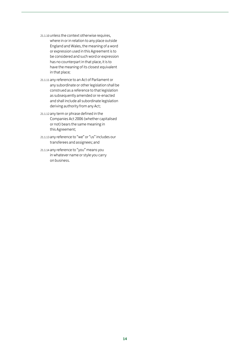- 21.1.10 unless the context otherwise requires,
	- where in or in relation to any place outside England and Wales, the meaning of a word or expression used in this Agreement is to be considered and such word or expression has no counterpart in that place, it is to have the meaning of its closest equivalent in that place;
- 21.1.11 any reference to an Act of Parliament or any subordinate or other legislation shall be construed as a reference to that legislation as subsequently amended or re-enacted and shall include all subordinate legislation deriving authority from any Act;
- 21.1.12 any term or phrase defined in the Companies Act 2006 (whether capitalised or not) bears the same meaning in this Agreement;
- 21.1.13 any reference to "we" or "us" includes our transferees and assignees; and
- 21.1.14 any reference to "you" means you in whatever name or style you carry on business.